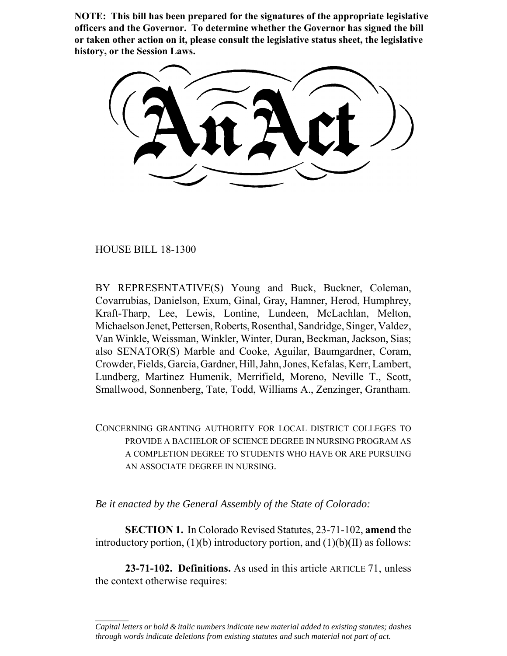**NOTE: This bill has been prepared for the signatures of the appropriate legislative officers and the Governor. To determine whether the Governor has signed the bill or taken other action on it, please consult the legislative status sheet, the legislative history, or the Session Laws.**

HOUSE BILL 18-1300

 $\frac{1}{2}$ 

BY REPRESENTATIVE(S) Young and Buck, Buckner, Coleman, Covarrubias, Danielson, Exum, Ginal, Gray, Hamner, Herod, Humphrey, Kraft-Tharp, Lee, Lewis, Lontine, Lundeen, McLachlan, Melton, Michaelson Jenet, Pettersen, Roberts, Rosenthal, Sandridge, Singer, Valdez, Van Winkle, Weissman, Winkler, Winter, Duran, Beckman, Jackson, Sias; also SENATOR(S) Marble and Cooke, Aguilar, Baumgardner, Coram, Crowder, Fields, Garcia, Gardner, Hill, Jahn, Jones, Kefalas, Kerr, Lambert, Lundberg, Martinez Humenik, Merrifield, Moreno, Neville T., Scott, Smallwood, Sonnenberg, Tate, Todd, Williams A., Zenzinger, Grantham.

CONCERNING GRANTING AUTHORITY FOR LOCAL DISTRICT COLLEGES TO PROVIDE A BACHELOR OF SCIENCE DEGREE IN NURSING PROGRAM AS A COMPLETION DEGREE TO STUDENTS WHO HAVE OR ARE PURSUING AN ASSOCIATE DEGREE IN NURSING.

*Be it enacted by the General Assembly of the State of Colorado:*

**SECTION 1.** In Colorado Revised Statutes, 23-71-102, **amend** the introductory portion,  $(1)(b)$  introductory portion, and  $(1)(b)(II)$  as follows:

**23-71-102. Definitions.** As used in this article ARTICLE 71, unless the context otherwise requires:

*Capital letters or bold & italic numbers indicate new material added to existing statutes; dashes through words indicate deletions from existing statutes and such material not part of act.*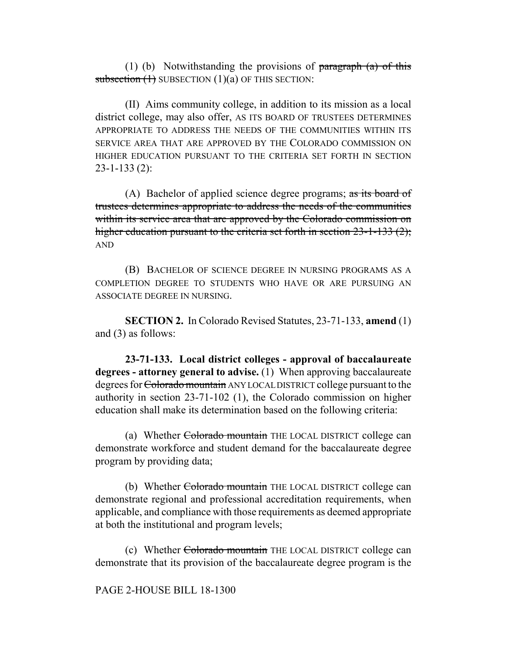(1) (b) Notwithstanding the provisions of  $\frac{1}{2}$  paragraph (a) of this subsection  $(1)$  SUBSECTION  $(1)(a)$  OF THIS SECTION:

(II) Aims community college, in addition to its mission as a local district college, may also offer, AS ITS BOARD OF TRUSTEES DETERMINES APPROPRIATE TO ADDRESS THE NEEDS OF THE COMMUNITIES WITHIN ITS SERVICE AREA THAT ARE APPROVED BY THE COLORADO COMMISSION ON HIGHER EDUCATION PURSUANT TO THE CRITERIA SET FORTH IN SECTION 23-1-133 (2):

(A) Bachelor of applied science degree programs; as its board of trustees determines appropriate to address the needs of the communities within its service area that are approved by the Colorado commission on higher education pursuant to the criteria set forth in section 23-1-133 (2); AND

(B) BACHELOR OF SCIENCE DEGREE IN NURSING PROGRAMS AS A COMPLETION DEGREE TO STUDENTS WHO HAVE OR ARE PURSUING AN ASSOCIATE DEGREE IN NURSING.

**SECTION 2.** In Colorado Revised Statutes, 23-71-133, **amend** (1) and (3) as follows:

**23-71-133. Local district colleges - approval of baccalaureate degrees - attorney general to advise.** (1) When approving baccalaureate degrees for Colorado mountain ANY LOCAL DISTRICT college pursuant to the authority in section 23-71-102 (1), the Colorado commission on higher education shall make its determination based on the following criteria:

(a) Whether Colorado mountain THE LOCAL DISTRICT college can demonstrate workforce and student demand for the baccalaureate degree program by providing data;

(b) Whether Colorado mountain THE LOCAL DISTRICT college can demonstrate regional and professional accreditation requirements, when applicable, and compliance with those requirements as deemed appropriate at both the institutional and program levels;

(c) Whether Colorado mountain THE LOCAL DISTRICT college can demonstrate that its provision of the baccalaureate degree program is the

## PAGE 2-HOUSE BILL 18-1300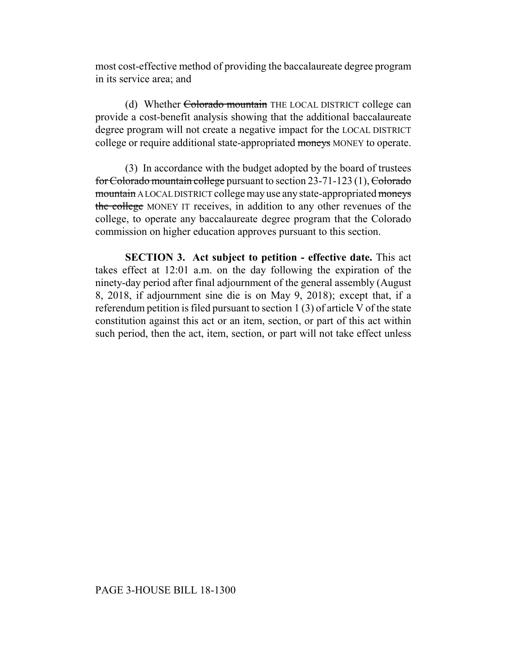most cost-effective method of providing the baccalaureate degree program in its service area; and

(d) Whether Colorado mountain THE LOCAL DISTRICT college can provide a cost-benefit analysis showing that the additional baccalaureate degree program will not create a negative impact for the LOCAL DISTRICT college or require additional state-appropriated moneys MONEY to operate.

(3) In accordance with the budget adopted by the board of trustees for Colorado mountain college pursuant to section 23-71-123 (1), Colorado mountain A LOCAL DISTRICT college may use any state-appropriated moneys the college MONEY IT receives, in addition to any other revenues of the college, to operate any baccalaureate degree program that the Colorado commission on higher education approves pursuant to this section.

**SECTION 3. Act subject to petition - effective date.** This act takes effect at 12:01 a.m. on the day following the expiration of the ninety-day period after final adjournment of the general assembly (August 8, 2018, if adjournment sine die is on May 9, 2018); except that, if a referendum petition is filed pursuant to section 1 (3) of article V of the state constitution against this act or an item, section, or part of this act within such period, then the act, item, section, or part will not take effect unless